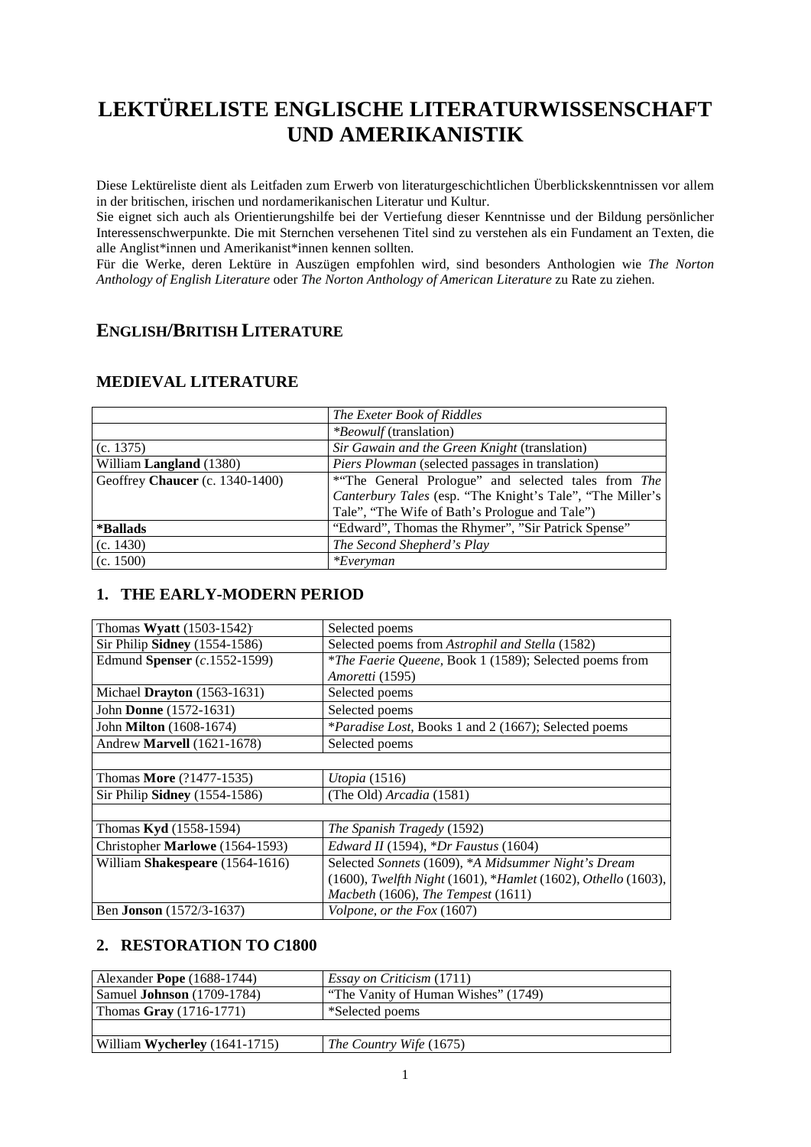# **LEKTÜRELISTE ENGLISCHE LITERATURWISSENSCHAFT UND AMERIKANISTIK**

Diese Lektüreliste dient als Leitfaden zum Erwerb von literaturgeschichtlichen Überblickskenntnissen vor allem in der britischen, irischen und nordamerikanischen Literatur und Kultur.

Sie eignet sich auch als Orientierungshilfe bei der Vertiefung dieser Kenntnisse und der Bildung persönlicher Interessenschwerpunkte. Die mit Sternchen versehenen Titel sind zu verstehen als ein Fundament an Texten, die alle Anglist\*innen und Amerikanist\*innen kennen sollten.

Für die Werke, deren Lektüre in Auszügen empfohlen wird, sind besonders Anthologien wie *The Norton Anthology of English Literature* oder *The Norton Anthology of American Literature* zu Rate zu ziehen.

### **ENGLISH/BRITISH LITERATURE**

|                                 | The Exeter Book of Riddles                                |
|---------------------------------|-----------------------------------------------------------|
|                                 | <i>*Beowulf</i> (translation)                             |
| (c. 1375)                       | Sir Gawain and the Green Knight (translation)             |
| William Langland (1380)         | <i>Piers Plowman</i> (selected passages in translation)   |
| Geoffrey Chaucer (c. 1340-1400) | *"The General Prologue" and selected tales from The       |
|                                 | Canterbury Tales (esp. "The Knight's Tale", "The Miller's |
|                                 | Tale", "The Wife of Bath's Prologue and Tale")            |
| *Ballads                        | "Edward", Thomas the Rhymer", "Sir Patrick Spense"        |
| (c. 1430)                       | The Second Shepherd's Play                                |
| (c. 1500)                       | $*Even$                                                   |

#### **MEDIEVAL LITERATURE**

### **1. THE EARLY-MODERN PERIOD**

| Thomas Wyatt (1503-1542)          | Selected poems                                                |
|-----------------------------------|---------------------------------------------------------------|
| Sir Philip Sidney (1554-1586)     | Selected poems from Astrophil and Stella (1582)               |
| Edmund Spenser (c.1552-1599)      | *The Faerie Queene, Book 1 (1589); Selected poems from        |
|                                   | Amoretti (1595)                                               |
| Michael Drayton $(1563-1631)$     | Selected poems                                                |
| John Donne (1572-1631)            | Selected poems                                                |
| John <b>Milton</b> (1608-1674)    | * <i>Paradise Lost</i> , Books 1 and 2 (1667); Selected poems |
| Andrew <b>Marvell</b> (1621-1678) | Selected poems                                                |
|                                   |                                                               |
| Thomas <b>More</b> (?1477-1535)   | <i>Utopia</i> (1516)                                          |
| Sir Philip Sidney (1554-1586)     | (The Old) Arcadia (1581)                                      |
|                                   |                                                               |
| Thomas Kyd (1558-1594)            | The Spanish Tragedy (1592)                                    |
| Christopher Marlowe (1564-1593)   | <i>Edward II</i> (1594), $*Dr$ <i>Faustus</i> (1604)          |
| William Shakespeare (1564-1616)   | Selected Sonnets (1609), *A Midsummer Night's Dream           |
|                                   | (1600), Twelfth Night (1601), *Hamlet (1602), Othello (1603), |
|                                   | Macbeth $(1606)$ , The Tempest $(1611)$                       |
| Ben Jonson (1572/3-1637)          | Volpone, or the Fox (1607)                                    |

### **2. RESTORATION TO** *C***1800**

| Alexander Pope $(1688-1744)$        | <i>Essay on Criticism</i> (1711)    |
|-------------------------------------|-------------------------------------|
| Samuel <b>Johnson</b> $(1709-1784)$ | "The Vanity of Human Wishes" (1749) |
| Thomas Gray $(1716-1771)$           | *Selected poems                     |
|                                     |                                     |
| William Wycherley (1641-1715)       | <i>The Country Wife</i> (1675)      |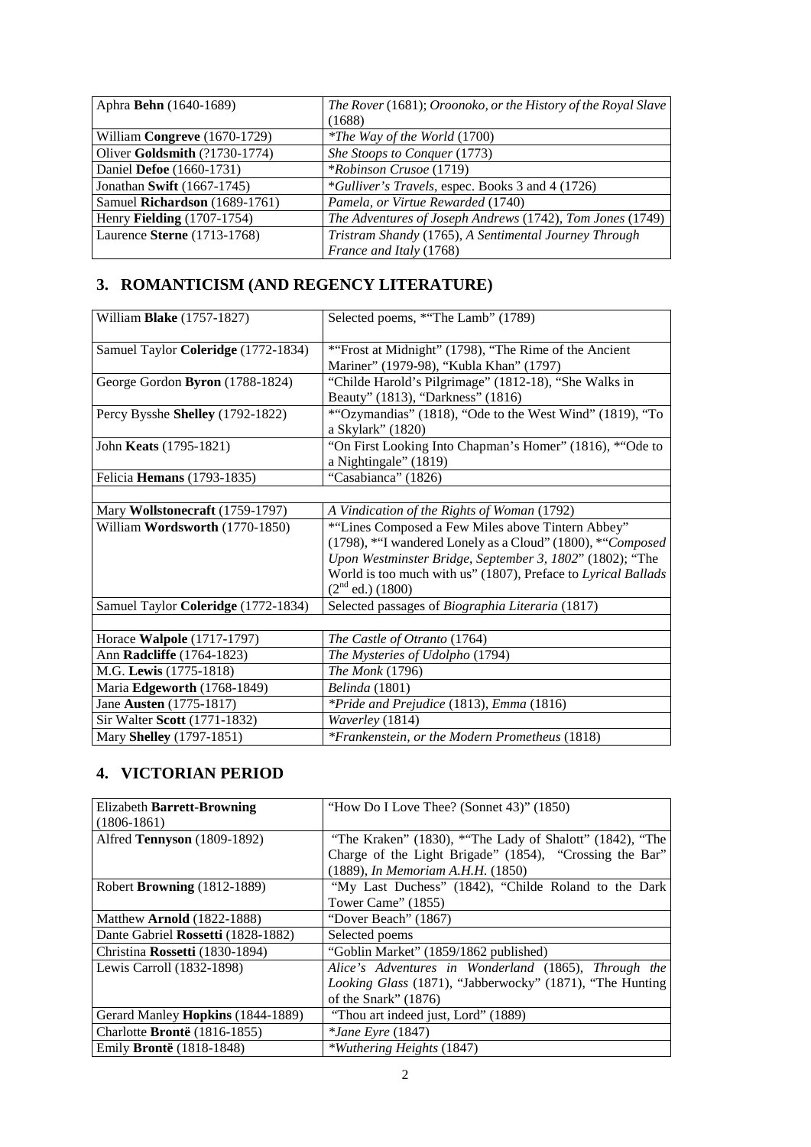| Aphra <b>Behn</b> (1640-1689) | The Rover (1681); Oroonoko, or the History of the Royal Slave |
|-------------------------------|---------------------------------------------------------------|
|                               | (1688)                                                        |
| William Congreve (1670-1729)  | <i>*The Way of the World</i> (1700)                           |
| Oliver Goldsmith (?1730-1774) | She Stoops to Conquer (1773)                                  |
| Daniel Defoe (1660-1731)      | <i>*Robinson Crusoe</i> (1719)                                |
| Jonathan Swift (1667-1745)    | *Gulliver's Travels, espec. Books 3 and 4 (1726)              |
| Samuel Richardson (1689-1761) | Pamela, or Virtue Rewarded (1740)                             |
| Henry Fielding (1707-1754)    | The Adventures of Joseph Andrews (1742), Tom Jones (1749)     |
| Laurence Sterne (1713-1768)   | Tristram Shandy (1765), A Sentimental Journey Through         |
|                               | France and Italy (1768)                                       |

## **3. ROMANTICISM (AND REGENCY LITERATURE)**

| William Blake (1757-1827)           | Selected poems, *"The Lamb" (1789)                                                    |
|-------------------------------------|---------------------------------------------------------------------------------------|
| Samuel Taylor Coleridge (1772-1834) | *"Frost at Midnight" (1798), "The Rime of the Ancient                                 |
|                                     | Mariner" (1979-98), "Kubla Khan" (1797)                                               |
| George Gordon Byron (1788-1824)     | "Childe Harold's Pilgrimage" (1812-18), "She Walks in                                 |
|                                     | Beauty" (1813), "Darkness" (1816)                                                     |
| Percy Bysshe Shelley (1792-1822)    | *"Ozymandias" (1818), "Ode to the West Wind" (1819), "To                              |
|                                     | a Skylark" (1820)                                                                     |
| John Keats (1795-1821)              | "On First Looking Into Chapman's Homer" (1816), *"Ode to                              |
|                                     | a Nightingale" (1819)                                                                 |
| Felicia Hemans (1793-1835)          | "Casabianca" (1826)                                                                   |
|                                     |                                                                                       |
| Mary Wollstonecraft (1759-1797)     | A Vindication of the Rights of Woman (1792)                                           |
| William Wordsworth (1770-1850)      | *"Lines Composed a Few Miles above Tintern Abbey"                                     |
|                                     | (1798), *"I wandered Lonely as a Cloud" (1800), *"Composed                            |
|                                     | Upon Westminster Bridge, September 3, 1802" (1802); "The                              |
|                                     | World is too much with us" (1807), Preface to Lyrical Ballads<br>$(2nd$ ed.) $(1800)$ |
| Samuel Taylor Coleridge (1772-1834) | Selected passages of Biographia Literaria (1817)                                      |
|                                     |                                                                                       |
| Horace Walpole (1717-1797)          | The Castle of Otranto (1764)                                                          |
| Ann Radcliffe (1764-1823)           | The Mysteries of Udolpho (1794)                                                       |
| M.G. Lewis (1775-1818)              | The Monk (1796)                                                                       |
| Maria Edgeworth (1768-1849)         | Belinda (1801)                                                                        |
| Jane Austen (1775-1817)             | *Pride and Prejudice (1813), Emma (1816)                                              |
| Sir Walter Scott (1771-1832)        | Waverley (1814)                                                                       |
| Mary Shelley (1797-1851)            | *Frankenstein, or the Modern Prometheus (1818)                                        |

## **4. VICTORIAN PERIOD**

| <b>Elizabeth Barrett-Browning</b>        | "How Do I Love Thee? (Sonnet 43)" $(1850)$               |
|------------------------------------------|----------------------------------------------------------|
| $(1806-1861)$                            |                                                          |
| Alfred Tennyson (1809-1892)              | "The Kraken" (1830), *"The Lady of Shalott" (1842), "The |
|                                          | Charge of the Light Brigade" (1854), "Crossing the Bar"  |
|                                          | (1889), In Memoriam A.H.H. (1850)                        |
| Robert <b>Browning</b> (1812-1889)       | "My Last Duchess" (1842), "Childe Roland to the Dark     |
|                                          | Tower Came" (1855)                                       |
| Matthew <b>Arnold</b> (1822-1888)        | "Dover Beach" (1867)                                     |
| Dante Gabriel Rossetti (1828-1882)       | Selected poems                                           |
| Christina Rossetti (1830-1894)           | "Goblin Market" (1859/1862 published)                    |
| Lewis Carroll (1832-1898)                | Alice's Adventures in Wonderland (1865), Through the     |
|                                          | Looking Glass (1871), "Jabberwocky" (1871), "The Hunting |
|                                          | of the Snark" (1876)                                     |
| Gerard Manley <b>Hopkins</b> (1844-1889) | "Thou art indeed just, Lord" (1889)                      |
| Charlotte <b>Bronte</b> (1816-1855)      | $*$ Jane Eyre (1847)                                     |
| Emily Brontë (1818-1848)                 | *Wuthering Heights (1847)                                |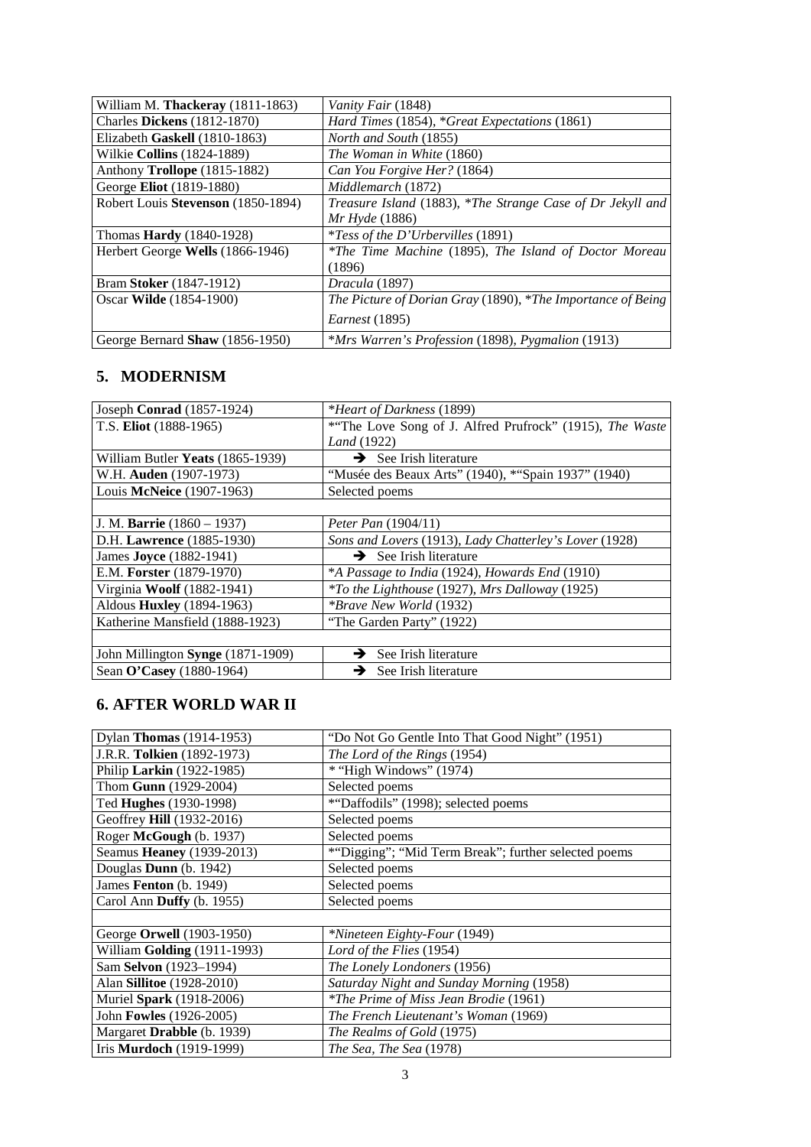| William M. Thackeray (1811-1863)   | Vanity Fair (1848)                                          |
|------------------------------------|-------------------------------------------------------------|
| <b>Charles Dickens</b> (1812-1870) | Hard Times (1854), *Great Expectations (1861)               |
| Elizabeth Gaskell (1810-1863)      | <i>North and South</i> (1855)                               |
| Wilkie <b>Collins</b> (1824-1889)  | The Woman in White (1860)                                   |
| Anthony Trollope (1815-1882)       | Can You Forgive Her? (1864)                                 |
| George Eliot (1819-1880)           | Middlemarch (1872)                                          |
| Robert Louis Stevenson (1850-1894) | Treasure Island (1883), *The Strange Case of Dr Jekyll and  |
|                                    | <i>Mr Hyde</i> (1886)                                       |
| Thomas <b>Hardy</b> (1840-1928)    | <i>*Tess of the D'Urbervilles</i> (1891)                    |
| Herbert George Wells (1866-1946)   | *The Time Machine (1895), The Island of Doctor Moreau       |
|                                    | (1896)                                                      |
| Bram Stoker (1847-1912)            | Dracula (1897)                                              |
| Oscar Wilde (1854-1900)            | The Picture of Dorian Gray (1890), *The Importance of Being |
|                                    | <i>Earnest</i> (1895)                                       |
| George Bernard Shaw (1856-1950)    | *Mrs Warren's Profession (1898), Pygmalion (1913)           |

### **5. MODERNISM**

| Joseph Conrad (1857-1924)         | <i>*Heart of Darkness</i> (1899)                             |
|-----------------------------------|--------------------------------------------------------------|
| T.S. Eliot (1888-1965)            | *"The Love Song of J. Alfred Prufrock" (1915), The Waste     |
|                                   | Land (1922)                                                  |
| William Butler Yeats (1865-1939)  | $\rightarrow$ See Irish literature                           |
| W.H. Auden (1907-1973)            | "Musée des Beaux Arts" (1940), * "Spain 1937" (1940)         |
| Louis McNeice (1907-1963)         | Selected poems                                               |
|                                   |                                                              |
| J. M. Barrie $(1860 - 1937)$      | Peter Pan $(1904/11)$                                        |
| D.H. Lawrence (1885-1930)         | Sons and Lovers (1913), Lady Chatterley's Lover (1928)       |
| James <b>Joyce</b> (1882-1941)    | $\rightarrow$ See Irish literature                           |
| E.M. Forster (1879-1970)          | *A Passage to India (1924), Howards End (1910)               |
| Virginia Woolf (1882-1941)        | <i>*To the Lighthouse</i> (1927), <i>Mrs Dalloway</i> (1925) |
| Aldous <b>Huxley</b> (1894-1963)  | <i>*Brave New World</i> (1932)                               |
| Katherine Mansfield (1888-1923)   | "The Garden Party" (1922)                                    |
|                                   |                                                              |
| John Millington Synge (1871-1909) | See Irish literature<br>→                                    |
| Sean O'Casey (1880-1964)          | $\rightarrow$ See Irish literature                           |

### **6. AFTER WORLD WAR II**

| Dylan <b>Thomas</b> (1914-1953)  | "Do Not Go Gentle Into That Good Night" (1951)       |
|----------------------------------|------------------------------------------------------|
| J.R.R. Tolkien (1892-1973)       | The Lord of the Rings (1954)                         |
| Philip Larkin (1922-1985)        | * "High Windows" (1974)                              |
| Thom Gunn (1929-2004)            | Selected poems                                       |
| Ted Hughes (1930-1998)           | *"Daffodils" (1998); selected poems                  |
| Geoffrey Hill (1932-2016)        | Selected poems                                       |
| Roger McGough (b. 1937)          | Selected poems                                       |
| Seamus Heaney (1939-2013)        | *"Digging"; "Mid Term Break"; further selected poems |
| Douglas Dunn (b. 1942)           | Selected poems                                       |
| James Fenton (b. 1949)           | Selected poems                                       |
| Carol Ann Duffy (b. 1955)        | Selected poems                                       |
|                                  |                                                      |
| George Orwell (1903-1950)        | *Nineteen Eighty-Four (1949)                         |
| William Golding (1911-1993)      | Lord of the Flies (1954)                             |
| Sam Selvon (1923-1994)           | The Lonely Londoners (1956)                          |
| Alan <b>Sillitoe</b> (1928-2010) | Saturday Night and Sunday Morning (1958)             |
| Muriel Spark (1918-2006)         | *The Prime of Miss Jean Brodie (1961)                |
| John Fowles (1926-2005)          | The French Lieutenant's Woman (1969)                 |
| Margaret Drabble (b. 1939)       | The Realms of Gold (1975)                            |
| Iris Murdoch (1919-1999)         | The Sea, The Sea (1978)                              |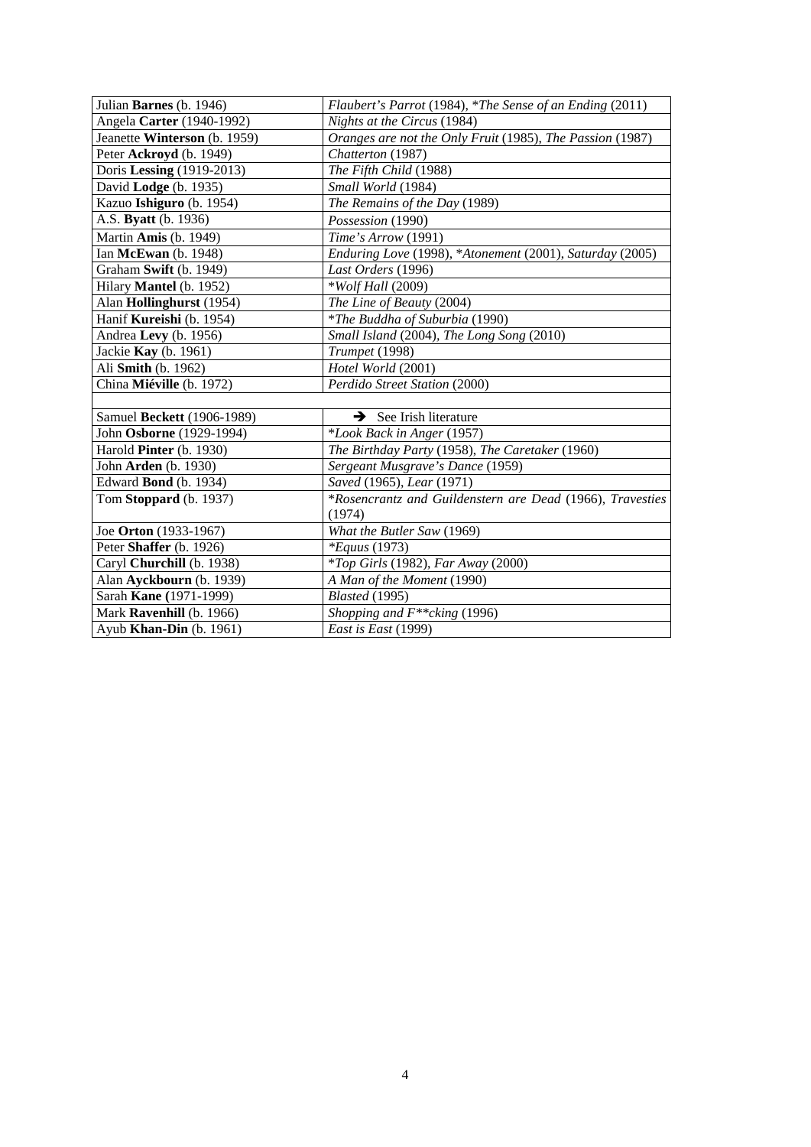| Julian Barnes (b. 1946)      | Flaubert's Parrot (1984), *The Sense of an Ending (2011)  |
|------------------------------|-----------------------------------------------------------|
| Angela Carter (1940-1992)    | Nights at the Circus (1984)                               |
| Jeanette Winterson (b. 1959) | Oranges are not the Only Fruit (1985), The Passion (1987) |
| Peter Ackroyd (b. 1949)      | Chatterton (1987)                                         |
| Doris Lessing (1919-2013)    | The Fifth Child (1988)                                    |
| David Lodge (b. 1935)        | Small World (1984)                                        |
| Kazuo Ishiguro (b. 1954)     | The Remains of the Day (1989)                             |
| A.S. Byatt (b. 1936)         | Possession (1990)                                         |
| Martin Amis (b. 1949)        | Time's Arrow (1991)                                       |
| Ian McEwan (b. 1948)         | Enduring Love (1998), *Atonement (2001), Saturday (2005)  |
| Graham Swift (b. 1949)       | Last Orders (1996)                                        |
| Hilary Mantel (b. 1952)      | <i>*Wolf Hall</i> (2009)                                  |
| Alan Hollinghurst (1954)     | The Line of Beauty (2004)                                 |
| Hanif Kureishi (b. 1954)     | <i>*The Buddha of Suburbia</i> (1990)                     |
| Andrea Levy (b. 1956)        | Small Island (2004), The Long Song (2010)                 |
| Jackie <b>Kay</b> (b. 1961)  | Trumpet (1998)                                            |
| Ali Smith (b. 1962)          | Hotel World (2001)                                        |
| China Miéville (b. 1972)     | Perdido Street Station (2000)                             |
|                              |                                                           |
| Samuel Beckett (1906-1989)   | See Irish literature<br>→                                 |
| John Osborne (1929-1994)     | *Look Back in Anger (1957)                                |
| Harold Pinter (b. 1930)      | The Birthday Party (1958), The Caretaker (1960)           |
| John Arden (b. 1930)         | Sergeant Musgrave's Dance (1959)                          |
| Edward Bond (b. 1934)        | Saved (1965), Lear (1971)                                 |
| Tom Stoppard (b. 1937)       | *Rosencrantz and Guildenstern are Dead (1966), Travesties |
|                              | (1974)                                                    |
| Joe Orton (1933-1967)        | What the Butler Saw (1969)                                |
| Peter Shaffer (b. 1926)      | <i>*Equus</i> (1973)                                      |
| Caryl Churchill (b. 1938)    | <i>*Top Girls</i> (1982), Far Away (2000)                 |
| Alan Ayckbourn (b. 1939)     | A Man of the Moment (1990)                                |
| Sarah Kane (1971-1999)       | <b>Blasted</b> (1995)                                     |
| Mark Ravenhill (b. 1966)     | Shopping and $F^{**}$ cking (1996)                        |
| Ayub Khan-Din (b. 1961)      | East is East (1999)                                       |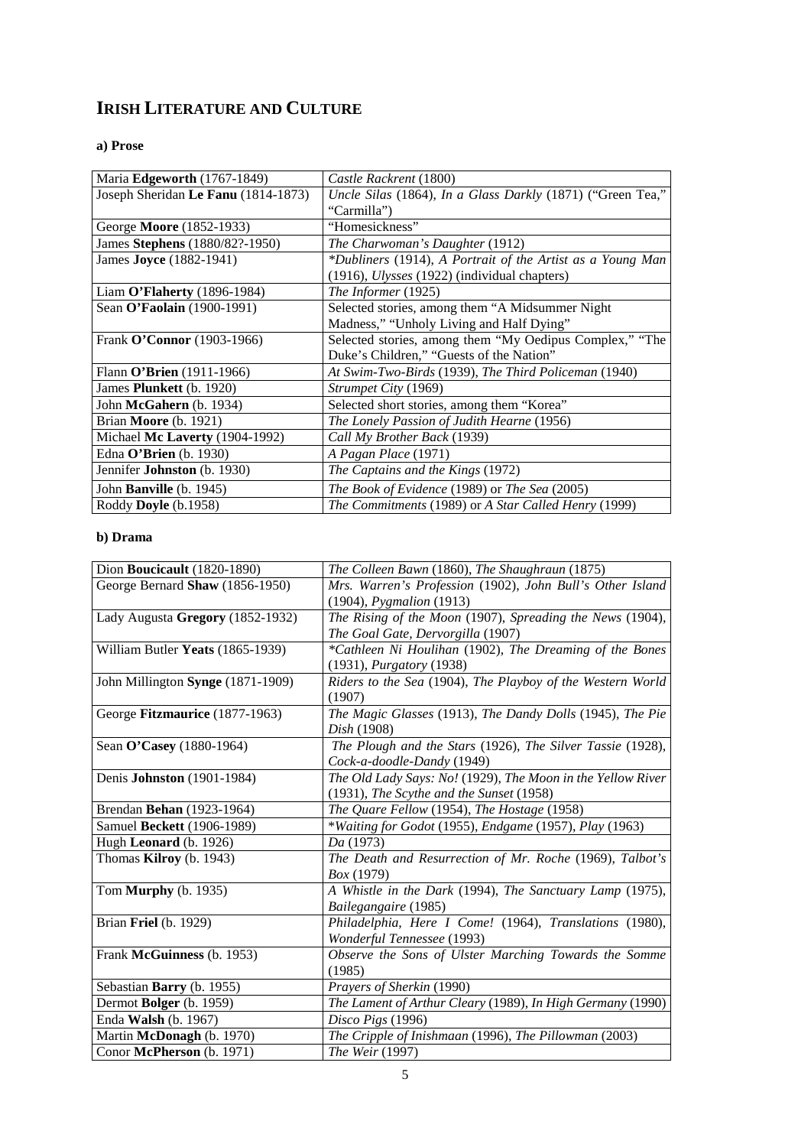## **IRISH LITERATURE AND CULTURE**

#### **a) Prose**

| Maria Edgeworth (1767-1849)         | Castle Rackrent (1800)                                     |
|-------------------------------------|------------------------------------------------------------|
| Joseph Sheridan Le Fanu (1814-1873) | Uncle Silas (1864), In a Glass Darkly (1871) ("Green Tea," |
|                                     | "Carmilla")                                                |
| George Moore (1852-1933)            | "Homesickness"                                             |
| James Stephens (1880/82?-1950)      | The Charwoman's Daughter (1912)                            |
| James Joyce (1882-1941)             | *Dubliners (1914), A Portrait of the Artist as a Young Man |
|                                     | (1916), <i>Ulysses</i> (1922) (individual chapters)        |
| Liam O'Flaherty $(1896-1984)$       | The Informer (1925)                                        |
| Sean O'Faolain (1900-1991)          | Selected stories, among them "A Midsummer Night            |
|                                     | Madness," "Unholy Living and Half Dying"                   |
| Frank O'Connor (1903-1966)          | Selected stories, among them "My Oedipus Complex," "The    |
|                                     | Duke's Children," "Guests of the Nation"                   |
| Flann O'Brien (1911-1966)           | At Swim-Two-Birds (1939), The Third Policeman (1940)       |
| James <b>Plunkett</b> (b. 1920)     | Strumpet City (1969)                                       |
| John McGahern (b. 1934)             | Selected short stories, among them "Korea"                 |
| Brian Moore (b. 1921)               | The Lonely Passion of Judith Hearne (1956)                 |
| Michael Mc Laverty (1904-1992)      | Call My Brother Back (1939)                                |
| Edna O'Brien $(b. 1930)$            | A Pagan Place (1971)                                       |
| Jennifer Johnston (b. 1930)         | The Captains and the Kings (1972)                          |
| John Banville (b. 1945)             | The Book of Evidence (1989) or The Sea (2005)              |
| Roddy Doyle (b.1958)                | The Commitments (1989) or A Star Called Henry (1999)       |

#### **b) Drama**

| Dion Boucicault (1820-1890)       | The Colleen Bawn (1860), The Shaughraun (1875)              |
|-----------------------------------|-------------------------------------------------------------|
| George Bernard Shaw (1856-1950)   | Mrs. Warren's Profession (1902), John Bull's Other Island   |
|                                   | (1904), <i>Pygmalion</i> (1913)                             |
| Lady Augusta Gregory (1852-1932)  | The Rising of the Moon (1907), Spreading the News (1904),   |
|                                   | The Goal Gate, Dervorgilla (1907)                           |
| William Butler Yeats (1865-1939)  | *Cathleen Ni Houlihan (1902), The Dreaming of the Bones     |
|                                   | $(1931)$ , <i>Purgatory</i> $(1938)$                        |
| John Millington Synge (1871-1909) | Riders to the Sea (1904), The Playboy of the Western World  |
|                                   | (1907)                                                      |
| George Fitzmaurice (1877-1963)    | The Magic Glasses (1913), The Dandy Dolls (1945), The Pie   |
|                                   | Dish (1908)                                                 |
| Sean O'Casey (1880-1964)          | The Plough and the Stars (1926), The Silver Tassie (1928),  |
|                                   | Cock-a-doodle-Dandy (1949)                                  |
| Denis Johnston (1901-1984)        | The Old Lady Says: No! (1929), The Moon in the Yellow River |
|                                   | (1931), The Scythe and the Sunset (1958)                    |
| Brendan Behan (1923-1964)         | The Quare Fellow (1954), The Hostage (1958)                 |
| Samuel Beckett (1906-1989)        | *Waiting for Godot (1955), Endgame (1957), Play (1963)      |
| Hugh Leonard (b. 1926)            | Da (1973)                                                   |
| Thomas Kilroy (b. 1943)           | The Death and Resurrection of Mr. Roche (1969), Talbot's    |
|                                   | Box (1979)                                                  |
| Tom <b>Murphy</b> (b. 1935)       | A Whistle in the Dark (1994), The Sanctuary Lamp (1975),    |
|                                   | Bailegangaire (1985)                                        |
| Brian Friel (b. 1929)             | Philadelphia, Here I Come! (1964), Translations (1980),     |
|                                   | Wonderful Tennessee (1993)                                  |
| Frank McGuinness (b. 1953)        | Observe the Sons of Ulster Marching Towards the Somme       |
|                                   | (1985)                                                      |
| Sebastian Barry (b. 1955)         | Prayers of Sherkin (1990)                                   |
| Dermot Bolger (b. 1959)           | The Lament of Arthur Cleary (1989), In High Germany (1990)  |
| Enda Walsh (b. 1967)              | Disco Pigs (1996)                                           |
| Martin McDonagh (b. 1970)         | The Cripple of Inishmaan (1996), The Pillowman (2003)       |
| Conor McPherson (b. 1971)         | The Weir (1997)                                             |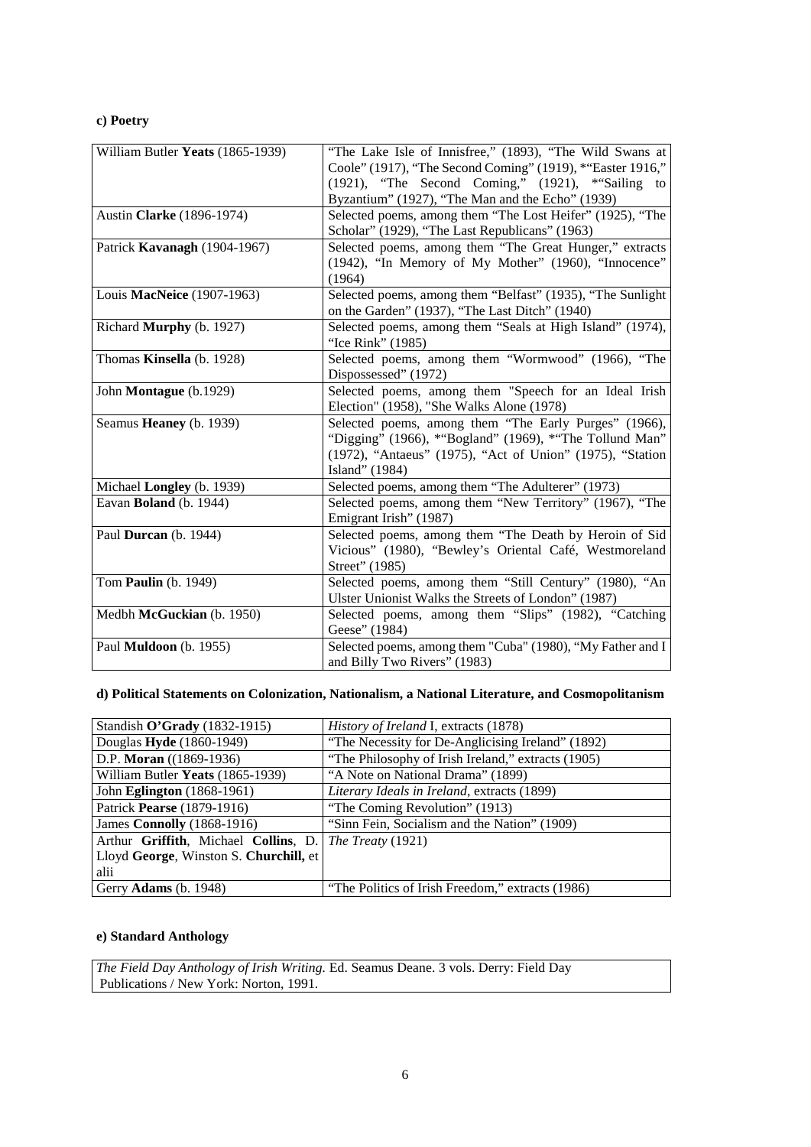#### **c) Poetry**

| William Butler Yeats (1865-1939) | "The Lake Isle of Innisfree," (1893), "The Wild Swans at   |
|----------------------------------|------------------------------------------------------------|
|                                  | Coole" (1917), "The Second Coming" (1919), *"Easter 1916," |
|                                  | (1921), "The Second Coming," (1921), *"Sailing to          |
|                                  | Byzantium" (1927), "The Man and the Echo" (1939)           |
| Austin Clarke (1896-1974)        | Selected poems, among them "The Lost Heifer" (1925), "The  |
|                                  | Scholar" (1929), "The Last Republicans" (1963)             |
| Patrick Kavanagh (1904-1967)     | Selected poems, among them "The Great Hunger," extracts    |
|                                  | (1942), "In Memory of My Mother" (1960), "Innocence"       |
|                                  | (1964)                                                     |
| Louis MacNeice (1907-1963)       | Selected poems, among them "Belfast" (1935), "The Sunlight |
|                                  | on the Garden" (1937), "The Last Ditch" (1940)             |
| Richard Murphy (b. 1927)         | Selected poems, among them "Seals at High Island" (1974),  |
|                                  | "Ice Rink" (1985)                                          |
| Thomas Kinsella (b. 1928)        | Selected poems, among them "Wormwood" (1966), "The         |
|                                  | Dispossessed" (1972)                                       |
| John Montague (b.1929)           | Selected poems, among them "Speech for an Ideal Irish      |
|                                  | Election" (1958), "She Walks Alone (1978)                  |
| Seamus Heaney (b. 1939)          | Selected poems, among them "The Early Purges" (1966),      |
|                                  | "Digging" (1966), * "Bogland" (1969), * "The Tollund Man"  |
|                                  | (1972), "Antaeus" (1975), "Act of Union" (1975), "Station  |
|                                  | Island" (1984)                                             |
| Michael Longley (b. 1939)        | Selected poems, among them "The Adulterer" (1973)          |
| Eavan Boland (b. 1944)           | Selected poems, among them "New Territory" (1967), "The    |
|                                  | Emigrant Irish" (1987)                                     |
| Paul Durcan (b. 1944)            | Selected poems, among them "The Death by Heroin of Sid     |
|                                  | Vicious" (1980), "Bewley's Oriental Café, Westmoreland     |
|                                  | Street" (1985)                                             |
| Tom Paulin (b. 1949)             | Selected poems, among them "Still Century" (1980), "An     |
|                                  | Ulster Unionist Walks the Streets of London" (1987)        |
| Medbh McGuckian (b. 1950)        | Selected poems, among them "Slips" (1982), "Catching       |
|                                  | Geese" (1984)                                              |
| Paul Muldoon (b. 1955)           | Selected poems, among them "Cuba" (1980), "My Father and I |
|                                  | and Billy Two Rivers" (1983)                               |

#### **d) Political Statements on Colonization, Nationalism, a National Literature, and Cosmopolitanism**

| Standish O'Grady (1832-1915)           | <i>History of Ireland I, extracts (1878)</i>       |
|----------------------------------------|----------------------------------------------------|
| Douglas Hyde (1860-1949)               | "The Necessity for De-Anglicising Ireland" (1892)  |
| D.P. Moran ((1869-1936)                | "The Philosophy of Irish Ireland," extracts (1905) |
| William Butler Yeats (1865-1939)       | "A Note on National Drama" (1899)                  |
| John Eglington (1868-1961)             | Literary Ideals in Ireland, extracts (1899)        |
| Patrick Pearse (1879-1916)             | "The Coming Revolution" (1913)                     |
| James Connolly (1868-1916)             | "Sinn Fein, Socialism and the Nation" (1909)       |
| Arthur Griffith, Michael Collins, D.   | The Treaty (1921)                                  |
| Lloyd George, Winston S. Churchill, et |                                                    |
| alii                                   |                                                    |
| Gerry <b>Adams</b> (b. 1948)           | "The Politics of Irish Freedom," extracts (1986)   |

#### **e) Standard Anthology**

*The Field Day Anthology of Irish Writing.* Ed. Seamus Deane. 3 vols. Derry: Field Day Publications / New York: Norton, 1991.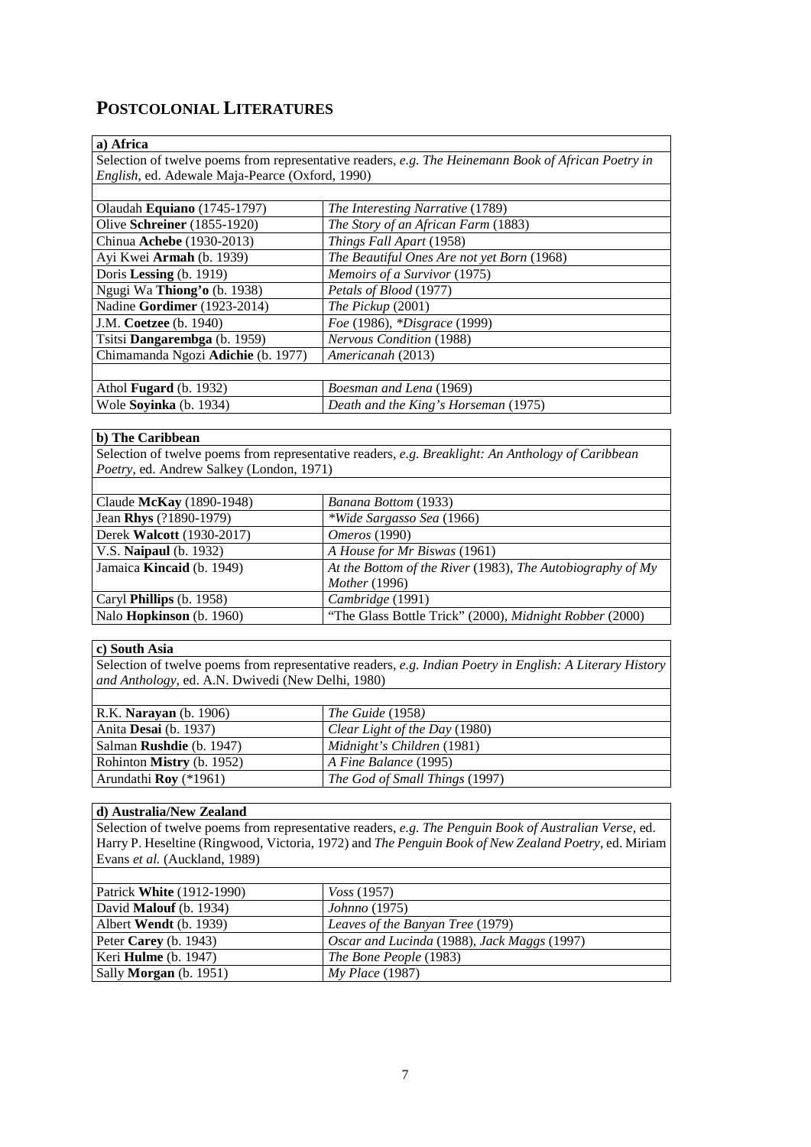## **POSTCOLONIAL LITERATURES**

#### **a) Africa**

Selection of twelve poems from representative readers, *e.g. The Heinemann Book of African Poetry in English*, ed. Adewale Maja-Pearce (Oxford, 1990)

| Olaudah Equiano (1745-1797)         | The Interesting Narrative (1789)           |
|-------------------------------------|--------------------------------------------|
| Olive <b>Schreiner</b> (1855-1920)  | The Story of an African Farm (1883)        |
| Chinua Achebe (1930-2013)           | Things Fall Apart (1958)                   |
| Ayi Kwei Armah (b. 1939)            | The Beautiful Ones Are not yet Born (1968) |
| Doris Lessing (b. 1919)             | Memoirs of a Survivor (1975)               |
| Ngugi Wa Thiong'o (b. 1938)         | Petals of Blood (1977)                     |
| Nadine Gordimer (1923-2014)         | The Pickup $(2001)$                        |
| J.M. Coetzee (b. 1940)              | Foe (1986), *Disgrace (1999)               |
| Tsitsi <b>Dangarembga</b> (b. 1959) | <b>Nervous Condition (1988)</b>            |
| Chimamanda Ngozi Adichie (b. 1977)  | Americanah (2013)                          |
|                                     |                                            |
| Athol <b>Fugard</b> (b. 1932)       | Boesman and Lena (1969)                    |
| Wole Soyinka (b. 1934)              | Death and the King's Horseman (1975)       |

#### **b) The Caribbean**

Selection of twelve poems from representative readers, *e.g. Breaklight: An Anthology of Caribbean Poetry*, ed. Andrew Salkey (London, 1971)

| Claude McKay (1890-1948)         | Banana Bottom (1933)                                         |
|----------------------------------|--------------------------------------------------------------|
| Jean Rhys (?1890-1979)           | <i>*Wide Sargasso Sea</i> (1966)                             |
| Derek Walcott (1930-2017)        | <i>Omeros</i> (1990)                                         |
| V.S. Naipaul (b. 1932)           | A House for Mr Biswas (1961)                                 |
| Jamaica <b>Kincaid</b> (b. 1949) | At the Bottom of the River (1983), The Autobiography of $Mv$ |
|                                  | Mother (1996)                                                |
| Caryl <b>Phillips</b> (b. 1958)  | Cambridge (1991)                                             |
| Nalo Hopkinson (b. 1960)         | "The Glass Bottle Trick" (2000), Midnight Robber (2000)      |

#### **c) South Asia**

Selection of twelve poems from representative readers, *e.g. Indian Poetry in English: A Literary History and Anthology*, ed. A.N. Dwivedi (New Delhi, 1980)

| R.K. <b>Narayan</b> (b. 1906)   | $\mid$ The Guide (1958)        |
|---------------------------------|--------------------------------|
| Anita <b>Desai</b> (b. 1937)    | Clear Light of the Day (1980)  |
| Salman <b>Rushdie</b> (b. 1947) | Midnight's Children (1981)     |
| Rohinton Mistry (b. 1952)       | $A$ Fine Balance (1995)        |
| Arundathi <b>Rov</b> $(*1961)$  | The God of Small Things (1997) |

#### **d) Australia/New Zealand**

Selection of twelve poems from representative readers, *e.g. The Penguin Book of Australian Verse,* ed. Harry P. Heseltine (Ringwood, Victoria, 1972) and *The Penguin Book of New Zealand Poetry*, ed. Miriam Evans *et al.* (Auckland, 1989)

| Patrick <b>White</b> (1912-1990) | $V$ oss (1957)                              |
|----------------------------------|---------------------------------------------|
| David <b>Malouf</b> (b. 1934)    | <i>Johnno</i> (1975)                        |
| Albert Wendt (b. 1939)           | Leaves of the Banyan Tree (1979)            |
| Peter Carey (b. 1943)            | Oscar and Lucinda (1988), Jack Maggs (1997) |
| Keri <b>Hulme</b> (b. $1947$ )   | The Bone People (1983)                      |
| Sally <b>Morgan</b> (b. 1951)    | $Mv$ Place (1987)                           |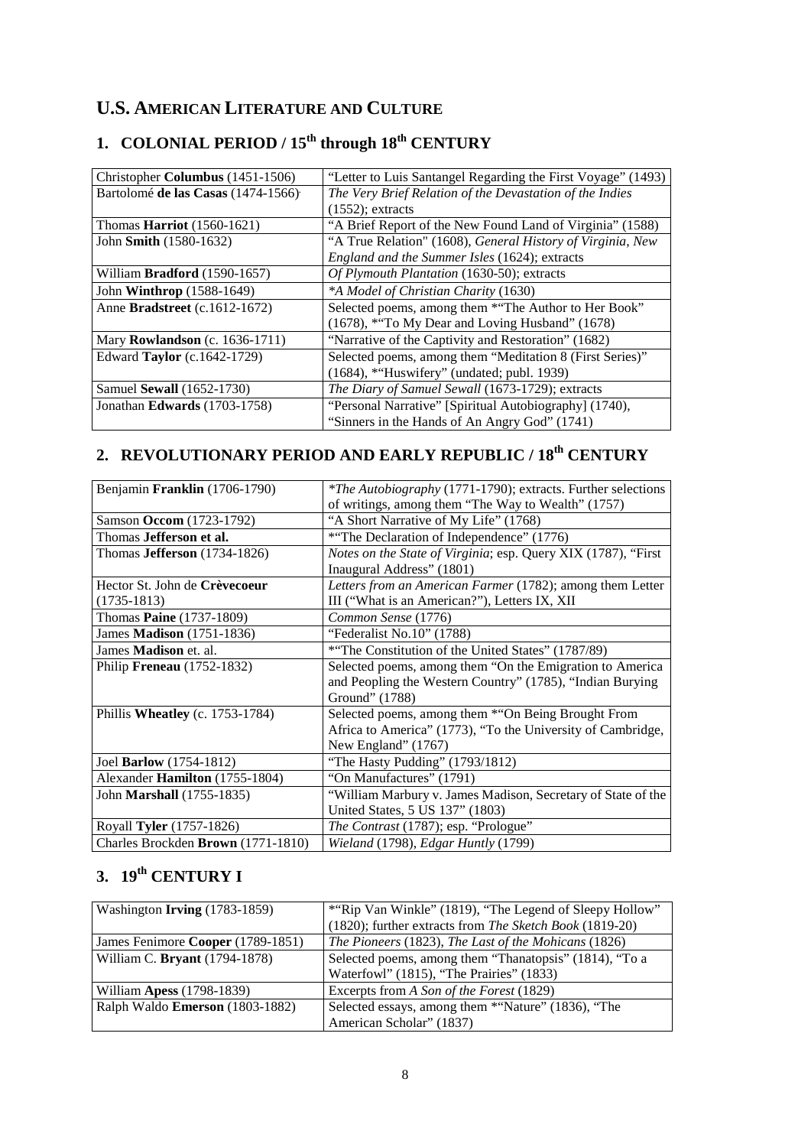## **U.S. AMERICAN LITERATURE AND CULTURE**

| Christopher Columbus (1451-1506)     | "Letter to Luis Santangel Regarding the First Voyage" (1493) |
|--------------------------------------|--------------------------------------------------------------|
| Bartolomé de las Casas (1474-1566)   | The Very Brief Relation of the Devastation of the Indies     |
|                                      | $(1552)$ ; extracts                                          |
| Thomas <b>Harriot</b> $(1560-1621)$  | "A Brief Report of the New Found Land of Virginia" (1588)    |
| John Smith (1580-1632)               | "A True Relation" (1608), General History of Virginia, New   |
|                                      | England and the Summer Isles (1624); extracts                |
| William <b>Bradford</b> (1590-1657)  | Of Plymouth Plantation (1630-50); extracts                   |
| John <b>Winthrop</b> (1588-1649)     | *A Model of Christian Charity (1630)                         |
| Anne <b>Bradstreet</b> (c.1612-1672) | Selected poems, among them *"The Author to Her Book"         |
|                                      | (1678), ***To My Dear and Loving Husband" (1678)             |
| Mary Rowlandson (c. 1636-1711)       | "Narrative of the Captivity and Restoration" (1682)          |
| Edward Taylor (c.1642-1729)          | Selected poems, among them "Meditation 8 (First Series)"     |
|                                      | (1684), *"Huswifery" (undated; publ. 1939)                   |
| Samuel Sewall (1652-1730)            | The Diary of Samuel Sewall (1673-1729); extracts             |
| Jonathan Edwards (1703-1758)         | "Personal Narrative" [Spiritual Autobiography] (1740),       |
|                                      | "Sinners in the Hands of An Angry God" (1741)                |

# **1. COLONIAL PERIOD / 15th through 18th CENTURY**

# **2. REVOLUTIONARY PERIOD AND EARLY REPUBLIC / 18th CENTURY**

| Benjamin Franklin (1706-1790)         | <i>*The Autobiography</i> (1771-1790); extracts. Further selections |
|---------------------------------------|---------------------------------------------------------------------|
|                                       | of writings, among them "The Way to Wealth" (1757)                  |
| Samson Occom (1723-1792)              | "A Short Narrative of My Life" (1768)                               |
| Thomas Jefferson et al.               | *"The Declaration of Independence" (1776)                           |
| Thomas <b>Jefferson</b> $(1734-1826)$ | Notes on the State of Virginia; esp. Query XIX (1787), "First       |
|                                       | Inaugural Address" (1801)                                           |
| Hector St. John de Crèvecoeur         | Letters from an American Farmer (1782); among them Letter           |
| $(1735-1813)$                         | III ("What is an American?"), Letters IX, XII                       |
| Thomas Paine (1737-1809)              | Common Sense (1776)                                                 |
| James Madison (1751-1836)             | "Federalist No.10" (1788)                                           |
| James <b>Madison</b> et. al.          | *"The Constitution of the United States" (1787/89)                  |
| Philip Freneau (1752-1832)            | Selected poems, among them "On the Emigration to America"           |
|                                       | and Peopling the Western Country" (1785), "Indian Burying           |
|                                       | Ground" (1788)                                                      |
| Phillis Wheatley (c. 1753-1784)       | Selected poems, among them *"On Being Brought From                  |
|                                       | Africa to America" (1773), "To the University of Cambridge,         |
|                                       | New England" (1767)                                                 |
| Joel Barlow (1754-1812)               | "The Hasty Pudding" (1793/1812)                                     |
| Alexander Hamilton (1755-1804)        | "On Manufactures" (1791)                                            |
| John <b>Marshall</b> (1755-1835)      | "William Marbury v. James Madison, Secretary of State of the        |
|                                       | United States, 5 US 137" (1803)                                     |
| Royall Tyler (1757-1826)              | The Contrast (1787); esp. "Prologue"                                |
| Charles Brockden Brown (1771-1810)    | Wieland (1798), Edgar Huntly (1799)                                 |

# **3. 19th CENTURY I**

| Washington <b>Irving</b> (1783-1859)   | *"Rip Van Winkle" (1819), "The Legend of Sleepy Hollow" |
|----------------------------------------|---------------------------------------------------------|
|                                        | (1820); further extracts from The Sketch Book (1819-20) |
| James Fenimore Cooper (1789-1851)      | The Pioneers (1823), The Last of the Mohicans (1826)    |
| William C. Bryant (1794-1878)          | Selected poems, among them "Thanatopsis" (1814), "To a  |
|                                        | Waterfowl" (1815), "The Prairies" (1833)                |
| William <b>Apess</b> (1798-1839)       | Excerpts from A Son of the Forest (1829)                |
| Ralph Waldo <b>Emerson</b> (1803-1882) | Selected essays, among them *"Nature" (1836), "The      |
|                                        | American Scholar" (1837)                                |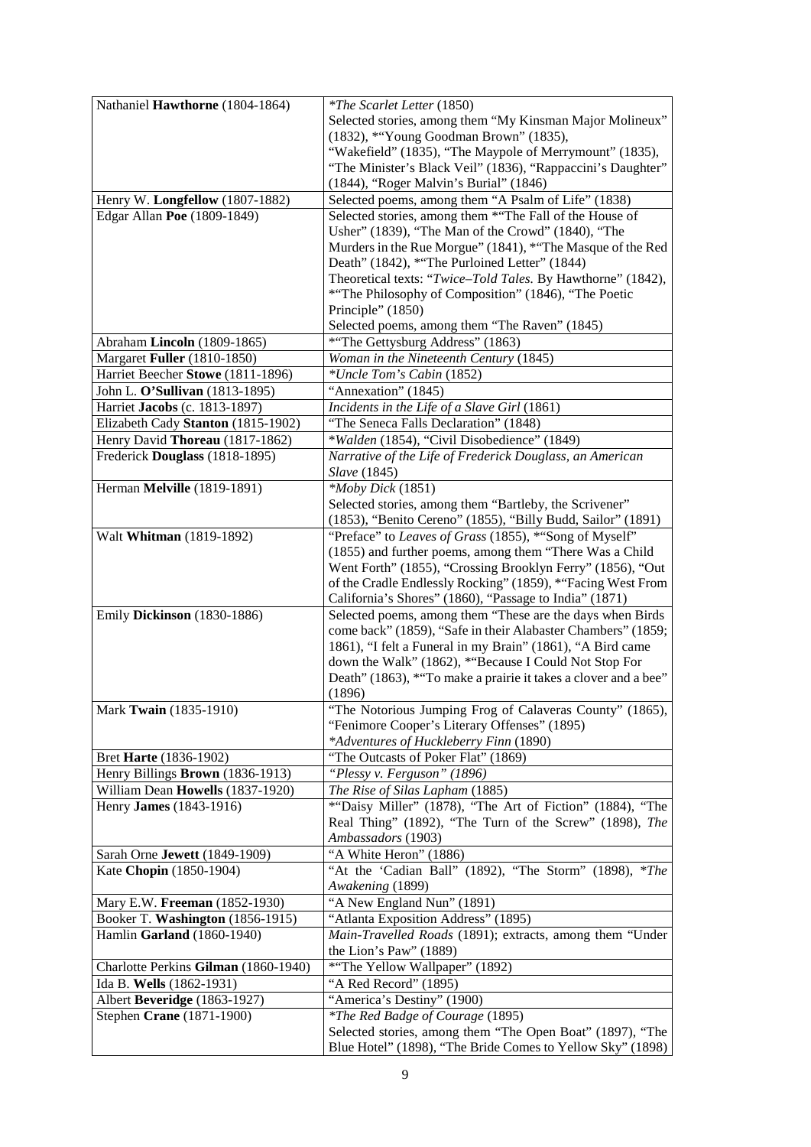| Nathaniel Hawthorne (1804-1864)      | <i>*The Scarlet Letter</i> (1850)                                                                                     |
|--------------------------------------|-----------------------------------------------------------------------------------------------------------------------|
|                                      | Selected stories, among them "My Kinsman Major Molineux"                                                              |
|                                      | (1832), *"Young Goodman Brown" (1835),                                                                                |
|                                      | "Wakefield" (1835), "The Maypole of Merrymount" (1835),                                                               |
|                                      | "The Minister's Black Veil" (1836), "Rappaccini's Daughter"                                                           |
|                                      | (1844), "Roger Malvin's Burial" (1846)                                                                                |
| Henry W. Longfellow (1807-1882)      | Selected poems, among them "A Psalm of Life" (1838)                                                                   |
| Edgar Allan Poe (1809-1849)          | Selected stories, among them *"The Fall of the House of                                                               |
|                                      | Usher" (1839), "The Man of the Crowd" (1840), "The                                                                    |
|                                      | Murders in the Rue Morgue" (1841), *"The Masque of the Red                                                            |
|                                      | Death" (1842), *"The Purloined Letter" (1844)                                                                         |
|                                      | Theoretical texts: "Twice-Told Tales. By Hawthorne" (1842),                                                           |
|                                      | *"The Philosophy of Composition" (1846), "The Poetic                                                                  |
|                                      | Principle" (1850)                                                                                                     |
|                                      | Selected poems, among them "The Raven" (1845)                                                                         |
| Abraham Lincoln (1809-1865)          | *"The Gettysburg Address" (1863)                                                                                      |
| Margaret Fuller (1810-1850)          | Woman in the Nineteenth Century (1845)                                                                                |
| Harriet Beecher Stowe (1811-1896)    | *Uncle Tom's Cabin (1852)                                                                                             |
| John L. O'Sullivan (1813-1895)       | "Annexation" (1845)                                                                                                   |
| Harriet Jacobs (c. 1813-1897)        | Incidents in the Life of a Slave Girl (1861)                                                                          |
| Elizabeth Cady Stanton (1815-1902)   | "The Seneca Falls Declaration" (1848)                                                                                 |
| Henry David Thoreau (1817-1862)      | *Walden (1854), "Civil Disobedience" (1849)                                                                           |
| Frederick Douglass (1818-1895)       | Narrative of the Life of Frederick Douglass, an American                                                              |
|                                      | Slave (1845)                                                                                                          |
| Herman Melville (1819-1891)          | $*Moby Dick(1851)$                                                                                                    |
|                                      | Selected stories, among them "Bartleby, the Scrivener"                                                                |
|                                      | (1853), "Benito Cereno" (1855), "Billy Budd, Sailor" (1891)                                                           |
| Walt Whitman (1819-1892)             | "Preface" to Leaves of Grass (1855), *"Song of Myself"                                                                |
|                                      | (1855) and further poems, among them "There Was a Child                                                               |
|                                      | Went Forth" (1855), "Crossing Brooklyn Ferry" (1856), "Out                                                            |
|                                      | of the Cradle Endlessly Rocking" (1859), *"Facing West From<br>California's Shores" (1860), "Passage to India" (1871) |
| Emily Dickinson (1830-1886)          | Selected poems, among them "These are the days when Birds                                                             |
|                                      | come back" (1859), "Safe in their Alabaster Chambers" (1859;                                                          |
|                                      | 1861), "I felt a Funeral in my Brain" (1861), "A Bird came                                                            |
|                                      | down the Walk" (1862), *"Because I Could Not Stop For                                                                 |
|                                      | Death" (1863), ***To make a prairie it takes a clover and a bee"                                                      |
|                                      | (1896)                                                                                                                |
| Mark Twain (1835-1910)               | The Notorious Jumping Frog of Calaveras County" (1865),                                                               |
|                                      | "Fenimore Cooper's Literary Offenses" (1895)                                                                          |
|                                      | *Adventures of Huckleberry Finn (1890)                                                                                |
| Bret Harte (1836-1902)               | "The Outcasts of Poker Flat" (1869)                                                                                   |
| Henry Billings Brown (1836-1913)     | "Plessy v. Ferguson" (1896)                                                                                           |
| William Dean Howells (1837-1920)     | The Rise of Silas Lapham (1885)                                                                                       |
| Henry <b>James</b> (1843-1916)       | *"Daisy Miller" (1878), "The Art of Fiction" (1884), "The                                                             |
|                                      | Real Thing" (1892), "The Turn of the Screw" (1898), The                                                               |
|                                      | Ambassadors (1903)                                                                                                    |
| Sarah Orne Jewett (1849-1909)        | "A White Heron" (1886)                                                                                                |
| Kate Chopin (1850-1904)              | "At the 'Cadian Ball" (1892), "The Storm" (1898), *The                                                                |
|                                      | Awakening (1899)                                                                                                      |
| Mary E.W. Freeman (1852-1930)        | "A New England Nun" (1891)                                                                                            |
| Booker T. Washington (1856-1915)     | "Atlanta Exposition Address" (1895)                                                                                   |
| Hamlin Garland (1860-1940)           | Main-Travelled Roads (1891); extracts, among them "Under                                                              |
|                                      | the Lion's Paw" (1889)                                                                                                |
| Charlotte Perkins Gilman (1860-1940) | *"The Yellow Wallpaper" (1892)                                                                                        |
| Ida B. Wells (1862-1931)             | "A Red Record" (1895)                                                                                                 |
| Albert Beveridge (1863-1927)         | "America's Destiny" (1900)                                                                                            |
| Stephen Crane (1871-1900)            | <i>*The Red Badge of Courage</i> (1895)                                                                               |
|                                      | Selected stories, among them "The Open Boat" (1897), "The                                                             |
|                                      | Blue Hotel" (1898), "The Bride Comes to Yellow Sky" (1898)                                                            |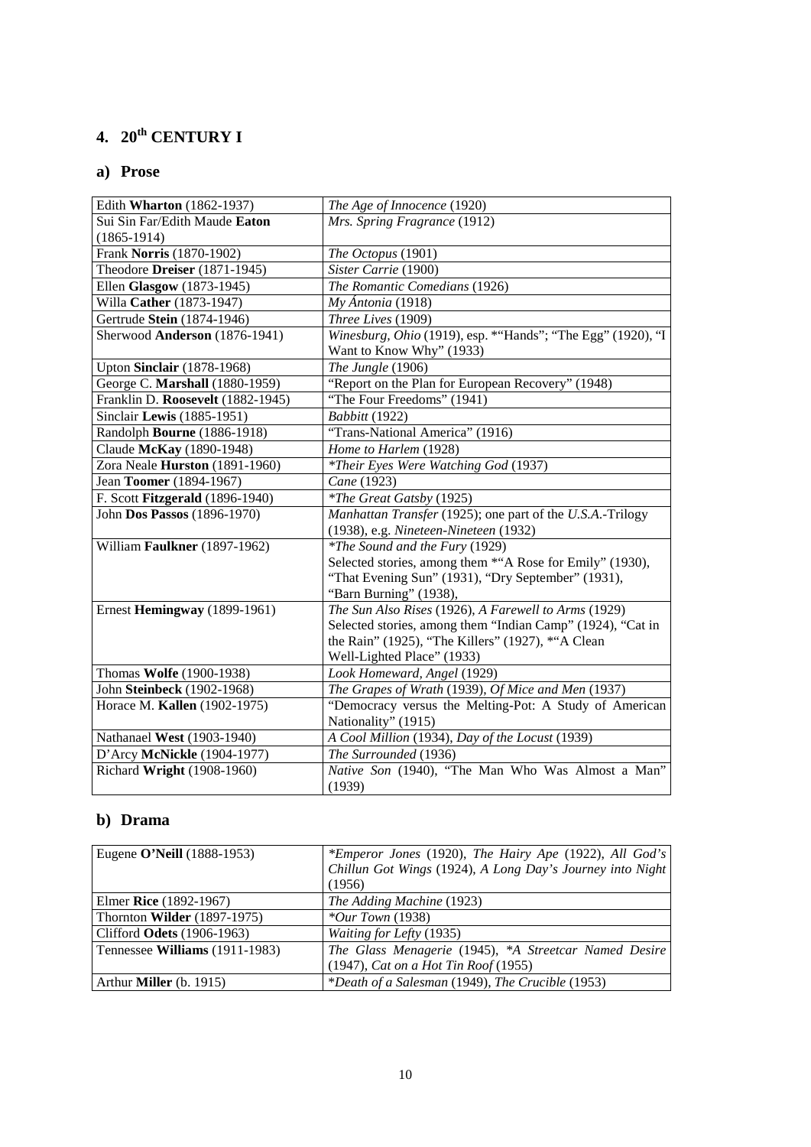# **4. 20th CENTURY I**

## **a) Prose**

| Edith Wharton (1862-1937)         | The Age of Innocence (1920)                                                              |
|-----------------------------------|------------------------------------------------------------------------------------------|
| Sui Sin Far/Edith Maude Eaton     | Mrs. Spring Fragrance (1912)                                                             |
| $(1865-1914)$                     |                                                                                          |
| Frank Norris (1870-1902)          | The Octopus (1901)                                                                       |
| Theodore Dreiser (1871-1945)      | Sister Carrie (1900)                                                                     |
| Ellen Glasgow (1873-1945)         | The Romantic Comedians (1926)                                                            |
| Willa Cather (1873-1947)          | $My$ Ántonia (1918)                                                                      |
| Gertrude Stein (1874-1946)        | Three Lives (1909)                                                                       |
| Sherwood Anderson (1876-1941)     | Winesburg, Ohio (1919), esp. * "Hands"; "The Egg" (1920), "I<br>Want to Know Why" (1933) |
| Upton Sinclair (1878-1968)        | The Jungle (1906)                                                                        |
| George C. Marshall (1880-1959)    | "Report on the Plan for European Recovery" (1948)                                        |
| Franklin D. Roosevelt (1882-1945) | "The Four Freedoms" (1941)                                                               |
| Sinclair Lewis (1885-1951)        | Babbitt (1922)                                                                           |
| Randolph Bourne (1886-1918)       | "Trans-National America" (1916)                                                          |
| Claude McKay (1890-1948)          | Home to Harlem (1928)                                                                    |
| Zora Neale Hurston (1891-1960)    | *Their Eyes Were Watching God (1937)                                                     |
| Jean Toomer (1894-1967)           | Cane (1923)                                                                              |
| F. Scott Fitzgerald (1896-1940)   | <i>*The Great Gatsby</i> (1925)                                                          |
| John Dos Passos (1896-1970)       | Manhattan Transfer (1925); one part of the U.S.A.-Trilogy                                |
|                                   | (1938), e.g. Nineteen-Nineteen (1932)                                                    |
| William Faulkner (1897-1962)      | <i>*The Sound and the Fury (1929)</i>                                                    |
|                                   | Selected stories, among them *"A Rose for Emily" (1930),                                 |
|                                   | "That Evening Sun" (1931), "Dry September" (1931),                                       |
|                                   | "Barn Burning" (1938),                                                                   |
| Ernest Hemingway (1899-1961)      | The Sun Also Rises (1926), A Farewell to Arms (1929)                                     |
|                                   | Selected stories, among them "Indian Camp" (1924), "Cat in                               |
|                                   | the Rain" (1925), "The Killers" (1927), *"A Clean                                        |
|                                   | Well-Lighted Place" (1933)                                                               |
| Thomas Wolfe (1900-1938)          | Look Homeward, Angel (1929)                                                              |
| John Steinbeck (1902-1968)        | The Grapes of Wrath (1939), Of Mice and Men (1937)                                       |
| Horace M. Kallen (1902-1975)      | "Democracy versus the Melting-Pot: A Study of American                                   |
|                                   | Nationality" (1915)                                                                      |
| Nathanael West (1903-1940)        | A Cool Million (1934), Day of the Locust (1939)                                          |
| D'Arcy McNickle (1904-1977)       | The Surrounded (1936)                                                                    |
| Richard Wright (1908-1960)        | Native Son (1940), "The Man Who Was Almost a Man"<br>(1939)                              |

## **b) Drama**

| Eugene O'Neill (1888-1953)        | *Emperor Jones (1920), The Hairy Ape (1922), All God's<br>Chillun Got Wings (1924), A Long Day's Journey into Night<br>(1956) |
|-----------------------------------|-------------------------------------------------------------------------------------------------------------------------------|
| Elmer Rice $(1892-1967)$          | The Adding Machine (1923)                                                                                                     |
| Thornton Wilder (1897-1975)       | * <i>Our Town</i> $(1938)$                                                                                                    |
| Clifford <b>Odets</b> (1906-1963) | <i>Waiting for Lefty</i> (1935)                                                                                               |
| Tennessee Williams (1911-1983)    | The Glass Menagerie (1945), *A Streetcar Named Desire                                                                         |
|                                   | $(1947)$ , <i>Cat on a Hot Tin Roof</i> $(1955)$                                                                              |
| Arthur <b>Miller</b> (b. 1915)    | *Death of a Salesman (1949), The Crucible (1953)                                                                              |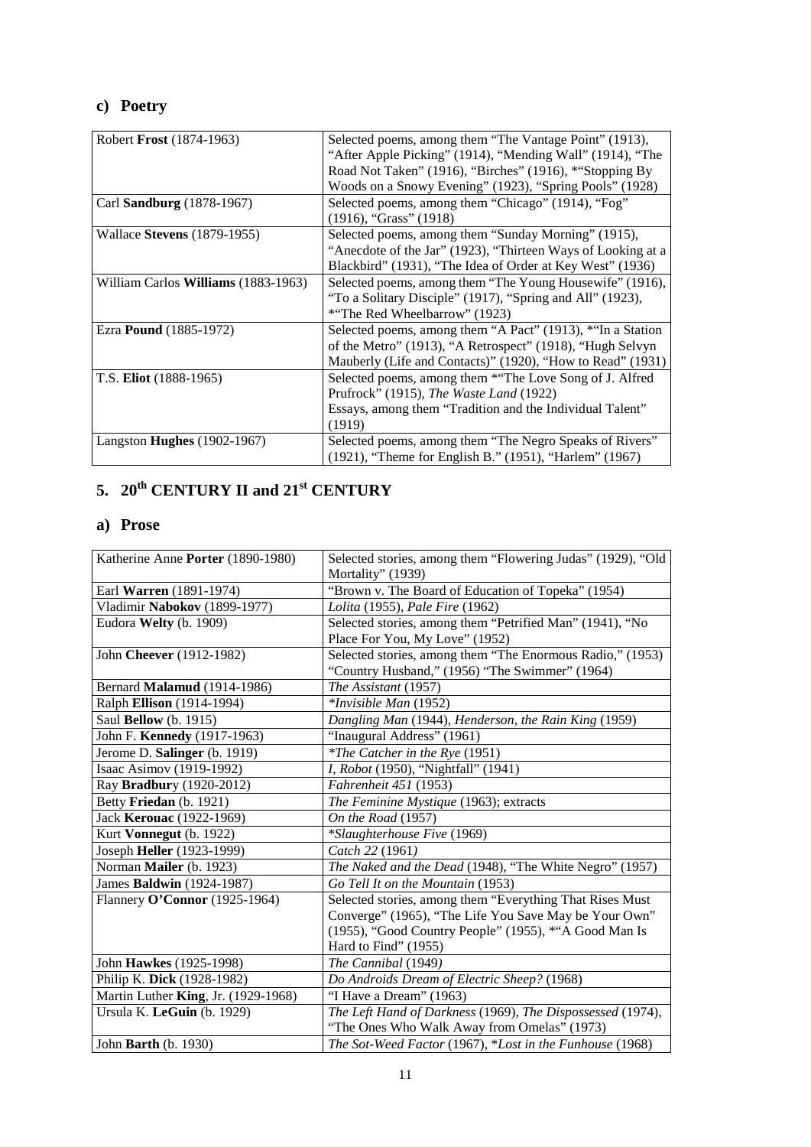## **c) Poetry**

| Robert <b>Frost</b> (1874-1963)            | Selected poems, among them "The Vantage Point" (1913),       |
|--------------------------------------------|--------------------------------------------------------------|
|                                            | "After Apple Picking" (1914), "Mending Wall" (1914), "The    |
|                                            | Road Not Taken" (1916), "Birches" (1916), *"Stopping By      |
|                                            | Woods on a Snowy Evening" (1923), "Spring Pools" (1928)      |
| Carl <b>Sandburg</b> (1878-1967)           | Selected poems, among them "Chicago" (1914), "Fog"           |
|                                            | $(1916)$ , "Grass" $(1918)$                                  |
| Wallace <b>Stevens</b> (1879-1955)         | Selected poems, among them "Sunday Morning" (1915),          |
|                                            | "Anecdote of the Jar" (1923), "Thirteen Ways of Looking at a |
|                                            | Blackbird" (1931), "The Idea of Order at Key West" (1936)    |
| William Carlos <b>Williams</b> (1883-1963) | Selected poems, among them "The Young Housewife" (1916),     |
|                                            | "To a Solitary Disciple" (1917), "Spring and All" (1923),    |
|                                            | *"The Red Wheelbarrow" (1923)                                |
| Ezra <b>Pound</b> (1885-1972)              | Selected poems, among them "A Pact" (1913), *"In a Station   |
|                                            | of the Metro" (1913), "A Retrospect" (1918), "Hugh Selvyn    |
|                                            | Mauberly (Life and Contacts)" (1920), "How to Read" (1931)   |
| T.S. Eliot (1888-1965)                     | Selected poems, among them *"The Love Song of J. Alfred      |
|                                            | Prufrock" (1915), The Waste Land (1922)                      |
|                                            | Essays, among them "Tradition and the Individual Talent"     |
|                                            | (1919)                                                       |
| Langston Hughes (1902-1967)                | Selected poems, among them "The Negro Speaks of Rivers"      |
|                                            | (1921), "Theme for English B." (1951), "Harlem" (1967)       |

# **5. 20th CENTURY II and 21st CENTURY**

## **a) Prose**

| Katherine Anne Porter (1890-1980)   | Selected stories, among them "Flowering Judas" (1929), "Old<br>Mortality" (1939) |
|-------------------------------------|----------------------------------------------------------------------------------|
| Earl <b>Warren</b> (1891-1974)      | "Brown v. The Board of Education of Topeka" (1954)                               |
| Vladimir Nabokov (1899-1977)        | Lolita (1955), Pale Fire (1962)                                                  |
| Eudora Welty (b. 1909)              | Selected stories, among them "Petrified Man" (1941), "No                         |
|                                     | Place For You, My Love" (1952)                                                   |
| John Cheever (1912-1982)            | Selected stories, among them "The Enormous Radio," (1953)                        |
|                                     | "Country Husband," (1956) "The Swimmer" (1964)                                   |
| Bernard Malamud (1914-1986)         | The Assistant (1957)                                                             |
| Ralph Ellison (1914-1994)           | *Invisible Man (1952)                                                            |
| Saul Bellow (b. 1915)               | Dangling Man (1944), Henderson, the Rain King (1959)                             |
| John F. Kennedy (1917-1963)         | "Inaugural Address" (1961)                                                       |
| Jerome D. Salinger (b. 1919)        | <i>*The Catcher in the Rye</i> (1951)                                            |
| Isaac Asimov (1919-1992)            | I, Robot (1950), "Nightfall" (1941)                                              |
| Ray Bradbury (1920-2012)            | <i>Fahrenheit</i> 451 (1953)                                                     |
| Betty Friedan (b. 1921)             | The Feminine Mystique (1963); extracts                                           |
| Jack Kerouac (1922-1969)            | On the Road (1957)                                                               |
| Kurt Vonnegut (b. 1922)             | *Slaughterhouse Five (1969)                                                      |
| Joseph Heller (1923-1999)           | Catch 22 (1961)                                                                  |
| Norman Mailer (b. 1923)             | The Naked and the Dead (1948), "The White Negro" (1957)                          |
| James Baldwin (1924-1987)           | Go Tell It on the Mountain (1953)                                                |
| Flannery O'Connor (1925-1964)       | Selected stories, among them "Everything That Rises Must                         |
|                                     | Converge" (1965), "The Life You Save May be Your Own"                            |
|                                     | (1955), "Good Country People" (1955), *"A Good Man Is                            |
|                                     | Hard to Find" (1955)                                                             |
| John Hawkes (1925-1998)             | The Cannibal (1949)                                                              |
| Philip K. Dick (1928-1982)          | Do Androids Dream of Electric Sheep? (1968)                                      |
| Martin Luther King, Jr. (1929-1968) | "I Have a Dream" (1963)                                                          |
| Ursula K. LeGuin $(b. 1929)$        | The Left Hand of Darkness (1969), The Dispossessed (1974),                       |
|                                     | "The Ones Who Walk Away from Omelas" (1973)                                      |
| John Barth (b. 1930)                | The Sot-Weed Factor (1967), *Lost in the Funhouse (1968)                         |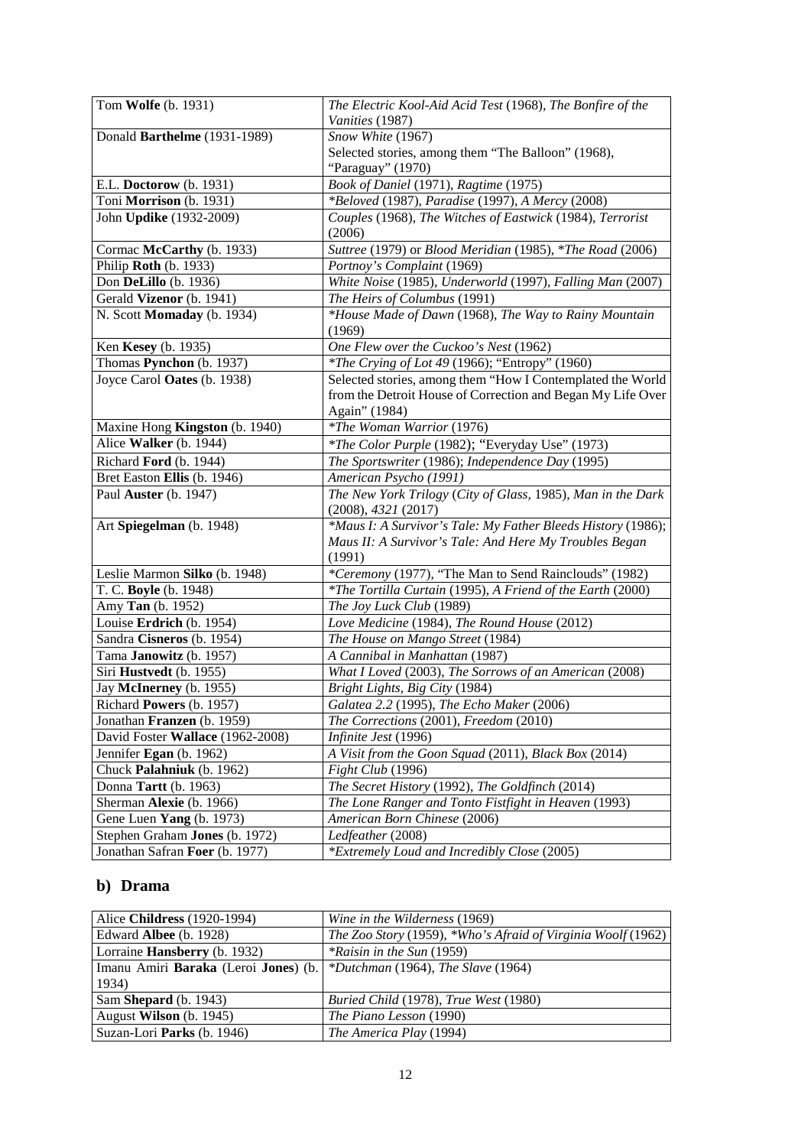| Tom Wolfe (b. 1931)               | The Electric Kool-Aid Acid Test (1968), The Bonfire of the   |
|-----------------------------------|--------------------------------------------------------------|
|                                   | Vanities (1987)                                              |
| Donald Barthelme (1931-1989)      | Snow White (1967)                                            |
|                                   | Selected stories, among them "The Balloon" (1968),           |
|                                   | "Paraguay" (1970)                                            |
| E.L. Doctorow (b. 1931)           | Book of Daniel (1971), Ragtime (1975)                        |
| Toni Morrison (b. 1931)           | *Beloved (1987), Paradise (1997), A Mercy (2008)             |
| John Updike (1932-2009)           | Couples (1968), The Witches of Eastwick (1984), Terrorist    |
|                                   | (2006)                                                       |
| Cormac McCarthy (b. 1933)         | Suttree (1979) or Blood Meridian (1985), *The Road (2006)    |
| Philip Roth (b. 1933)             | Portnoy's Complaint (1969)                                   |
| Don DeLillo (b. 1936)             | White Noise (1985), Underworld (1997), Falling Man (2007)    |
| Gerald Vizenor (b. 1941)          | The Heirs of Columbus (1991)                                 |
| N. Scott Momaday (b. 1934)        | *House Made of Dawn (1968), The Way to Rainy Mountain        |
|                                   | (1969)                                                       |
| Ken Kesey (b. 1935)               | One Flew over the Cuckoo's Nest (1962)                       |
| Thomas Pynchon (b. 1937)          | <i>*The Crying of Lot 49</i> (1966); "Entropy" (1960)        |
| Joyce Carol Oates (b. 1938)       | Selected stories, among them "How I Contemplated the World   |
|                                   | from the Detroit House of Correction and Began My Life Over  |
|                                   | Again" (1984)                                                |
| Maxine Hong Kingston (b. 1940)    | <i>*The Woman Warrior</i> (1976)                             |
| Alice Walker (b. 1944)            | *The Color Purple (1982); "Everyday Use" (1973)              |
| Richard Ford (b. 1944)            | The Sportswriter (1986); Independence Day (1995)             |
| Bret Easton Ellis (b. 1946)       | American Psycho (1991)                                       |
| Paul Auster (b. 1947)             | The New York Trilogy (City of Glass, 1985), Man in the Dark  |
|                                   | (2008), 4321(2017)                                           |
| Art Spiegelman (b. 1948)          | *Maus I: A Survivor's Tale: My Father Bleeds History (1986); |
|                                   | Maus II: A Survivor's Tale: And Here My Troubles Began       |
|                                   | (1991)                                                       |
| Leslie Marmon Silko (b. 1948)     | *Ceremony (1977), "The Man to Send Rainclouds" (1982)        |
| T. C. Boyle (b. 1948)             | *The Tortilla Curtain (1995), A Friend of the Earth (2000)   |
| Amy Tan (b. 1952)                 | The Joy Luck Club (1989)                                     |
| Louise Erdrich (b. 1954)          | Love Medicine (1984), The Round House (2012)                 |
| Sandra Cisneros (b. 1954)         | The House on Mango Street (1984)                             |
| Tama Janowitz (b. 1957)           | A Cannibal in Manhattan (1987)                               |
| Siri Hustvedt (b. 1955)           | What I Loved (2003), The Sorrows of an American (2008)       |
| Jay McInerney (b. 1955)           | Bright Lights, Big City (1984)                               |
| Richard Powers (b. 1957)          | Galatea 2.2 (1995), The Echo Maker (2006)                    |
| Jonathan <b>Franzen</b> (b. 1959) | The Corrections (2001), Freedom (2010)                       |
| David Foster Wallace (1962-2008)  | Infinite Jest (1996)                                         |
| Jennifer Egan (b. 1962)           | A Visit from the Goon Squad (2011), Black Box (2014)         |
| Chuck Palahniuk (b. 1962)         | Fight Club (1996)                                            |
| Donna Tartt (b. 1963)             | The Secret History (1992), The Goldfinch (2014)              |
| Sherman Alexie (b. 1966)          | The Lone Ranger and Tonto Fistfight in Heaven (1993)         |
| Gene Luen Yang (b. 1973)          | American Born Chinese (2006)                                 |
| Stephen Graham Jones (b. 1972)    | Ledfeather (2008)                                            |
| Jonathan Safran Foer (b. 1977)    | *Extremely Loud and Incredibly Close (2005)                  |

### **b) Drama**

| Alice Childress (1920-1994)                         | Wine in the Wilderness (1969)                                               |
|-----------------------------------------------------|-----------------------------------------------------------------------------|
| Edward Albee (b. 1928)                              | <i>The Zoo Story</i> (1959), * <i>Who's Afraid of Virginia Woolf</i> (1962) |
| Lorraine <b>Hansberry</b> (b. 1932)                 | $*$ Raisin in the Sun (1959)                                                |
| Imanu Amiri <b>Baraka</b> (Leroi <b>Jones</b> ) (b. | $*Dutchman (1964), The Slave (1964)$                                        |
| 1934)                                               |                                                                             |
| Sam Shepard (b. 1943)                               | <i>Buried Child</i> (1978), <i>True West</i> (1980)                         |
| August Wilson (b. 1945)                             | The Piano Lesson (1990)                                                     |
| Suzan-Lori Parks (b. 1946)                          | The America Play (1994)                                                     |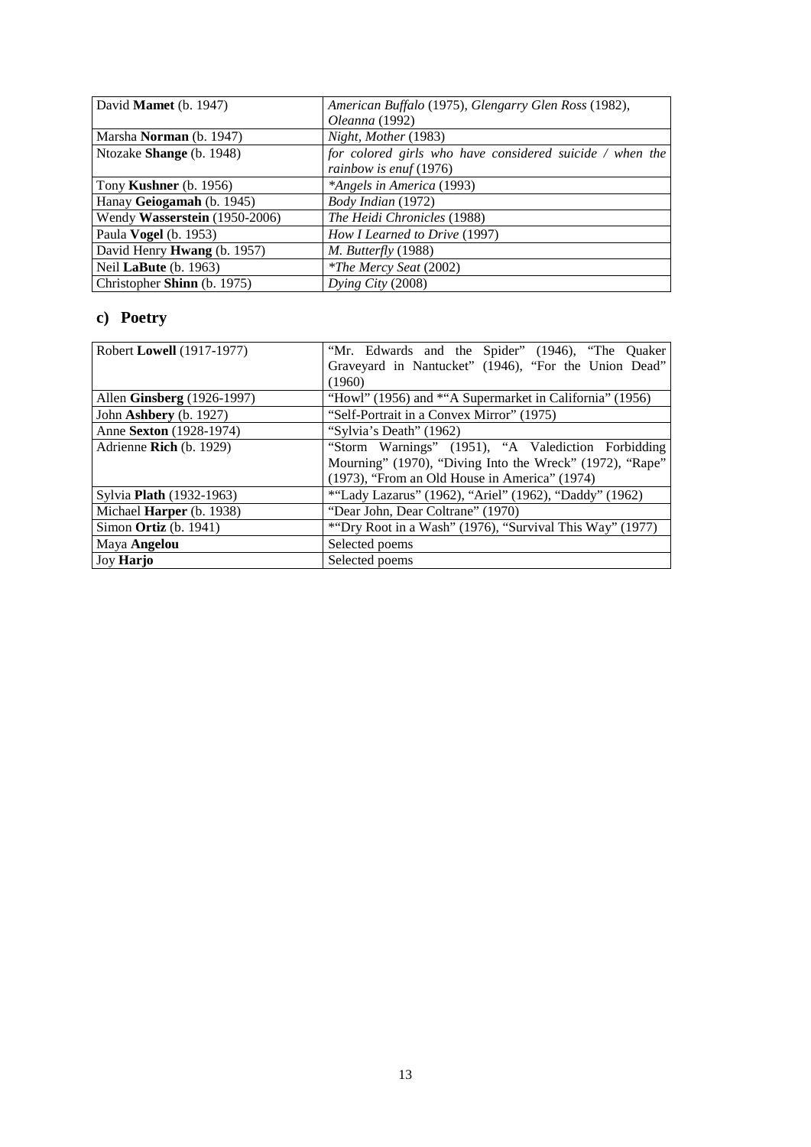| David Mamet (b. 1947)              | American Buffalo (1975), Glengarry Glen Ross (1982),     |
|------------------------------------|----------------------------------------------------------|
|                                    | <i>Oleanna</i> (1992)                                    |
| Marsha <b>Norman</b> (b. 1947)     | Night, Mother (1983)                                     |
| Ntozake Shange (b. 1948)           | for colored girls who have considered suicide / when the |
|                                    | rainbow is enuf $(1976)$                                 |
| Tony <b>Kushner</b> (b. 1956)      | *Angels in America (1993)                                |
| Hanay Geiogamah (b. 1945)          | Body Indian (1972)                                       |
| Wendy Wasserstein (1950-2006)      | The Heidi Chronicles (1988)                              |
| Paula <b>Vogel</b> (b. 1953)       | How I Learned to Drive (1997)                            |
| David Henry <b>Hwang</b> (b. 1957) | M. Butterfly (1988)                                      |
| Neil LaBute (b. 1963)              | <i>*The Mercy Seat (2002)</i>                            |
| Christopher Shinn (b. 1975)        | Dying City $(2008)$                                      |

## **c) Poetry**

| Robert Lowell (1917-1977)  | "Mr. Edwards and the Spider" (1946), "The Quaker         |
|----------------------------|----------------------------------------------------------|
|                            | Graveyard in Nantucket" (1946), "For the Union Dead"     |
|                            | (1960)                                                   |
| Allen Ginsberg (1926-1997) | "Howl" (1956) and *"A Supermarket in California" (1956)  |
| John Ashbery (b. 1927)     | "Self-Portrait in a Convex Mirror" (1975)                |
| Anne Sexton (1928-1974)    | "Sylvia's Death" (1962)                                  |
| Adrienne Rich $(b. 1929)$  | "Storm Warnings" (1951), "A Valediction Forbidding       |
|                            | Mourning" (1970), "Diving Into the Wreck" (1972), "Rape" |
|                            | (1973), "From an Old House in America" (1974)            |
| Sylvia Plath (1932-1963)   | *"Lady Lazarus" (1962), "Ariel" (1962), "Daddy" (1962)   |
| Michael Harper (b. 1938)   | "Dear John, Dear Coltrane" (1970)                        |
| Simon Ortiz $(b. 1941)$    | *"Dry Root in a Wash" (1976), "Survival This Way" (1977) |
| Maya Angelou               | Selected poems                                           |
| <b>Joy Harjo</b>           | Selected poems                                           |